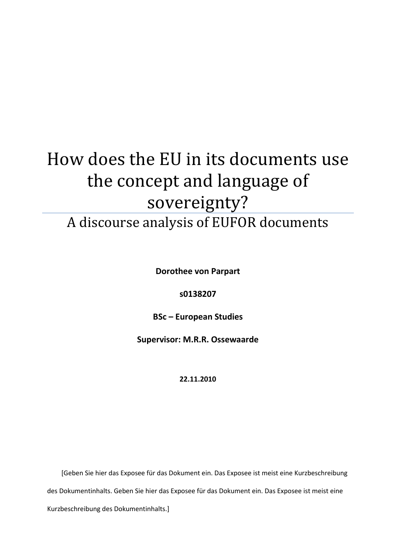# How does the EU in its documents use the concept and language of sovereignty?

A discourse analysis of EUFOR documents

**Dorothee von Parpart** 

**s0138207**

**BSc – European Studies**

**Supervisor: M.R.R. Ossewaarde**

**22.11.2010**

[Geben Sie hier das Exposee für das Dokument ein. Das Exposee ist meist eine Kurzbeschreibung des Dokumentinhalts. Geben Sie hier das Exposee für das Dokument ein. Das Exposee ist meist eine Kurzbeschreibung des Dokumentinhalts.]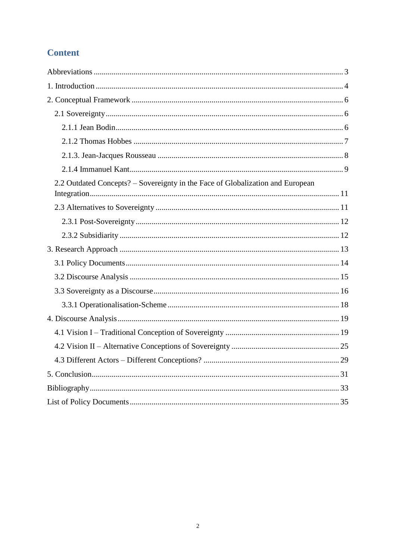# **Content**

| 2.2 Outdated Concepts? – Sovereignty in the Face of Globalization and European |  |
|--------------------------------------------------------------------------------|--|
|                                                                                |  |
|                                                                                |  |
|                                                                                |  |
|                                                                                |  |
|                                                                                |  |
|                                                                                |  |
|                                                                                |  |
|                                                                                |  |
|                                                                                |  |
|                                                                                |  |
|                                                                                |  |
|                                                                                |  |
|                                                                                |  |
|                                                                                |  |
|                                                                                |  |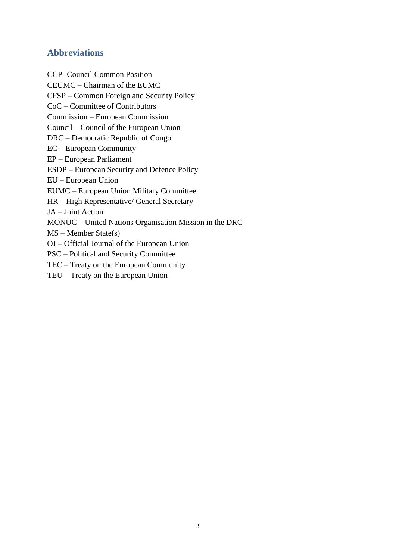# **Abbreviations**

CCP- Council Common Position CEUMC – Chairman of the EUMC CFSP – Common Foreign and Security Policy CoC – Committee of Contributors Commission – European Commission Council – Council of the European Union DRC – Democratic Republic of Congo EC – European Community EP – European Parliament ESDP – European Security and Defence Policy EU – European Union EUMC – European Union Military Committee HR – High Representative/ General Secretary JA – Joint Action MONUC – United Nations Organisation Mission in the DRC MS – Member State(s) OJ – Official Journal of the European Union PSC – Political and Security Committee TEC – Treaty on the European Community TEU – Treaty on the European Union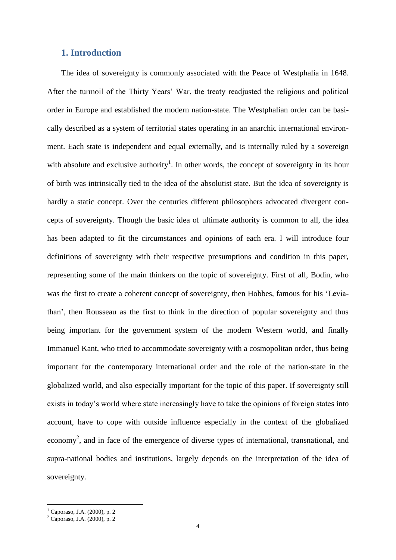# **1. Introduction**

The idea of sovereignty is commonly associated with the Peace of Westphalia in 1648. After the turmoil of the Thirty Years" War, the treaty readjusted the religious and political order in Europe and established the modern nation-state. The Westphalian order can be basically described as a system of territorial states operating in an anarchic international environment. Each state is independent and equal externally, and is internally ruled by a sovereign with absolute and exclusive authority<sup>1</sup>. In other words, the concept of sovereignty in its hour of birth was intrinsically tied to the idea of the absolutist state. But the idea of sovereignty is hardly a static concept. Over the centuries different philosophers advocated divergent concepts of sovereignty. Though the basic idea of ultimate authority is common to all, the idea has been adapted to fit the circumstances and opinions of each era. I will introduce four definitions of sovereignty with their respective presumptions and condition in this paper, representing some of the main thinkers on the topic of sovereignty. First of all, Bodin, who was the first to create a coherent concept of sovereignty, then Hobbes, famous for his "Leviathan", then Rousseau as the first to think in the direction of popular sovereignty and thus being important for the government system of the modern Western world, and finally Immanuel Kant, who tried to accommodate sovereignty with a cosmopolitan order, thus being important for the contemporary international order and the role of the nation-state in the globalized world, and also especially important for the topic of this paper. If sovereignty still exists in today"s world where state increasingly have to take the opinions of foreign states into account, have to cope with outside influence especially in the context of the globalized economy<sup>2</sup>, and in face of the emergence of diverse types of international, transnational, and supra-national bodies and institutions, largely depends on the interpretation of the idea of sovereignty.

 $1$  Caporaso, J.A. (2000), p. 2

<sup>2</sup> Caporaso, J.A. (2000), p. 2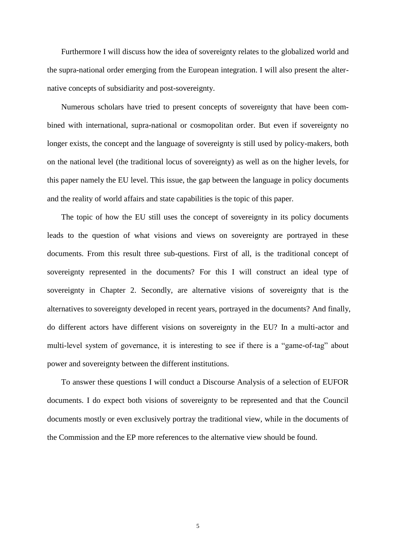Furthermore I will discuss how the idea of sovereignty relates to the globalized world and the supra-national order emerging from the European integration. I will also present the alternative concepts of subsidiarity and post-sovereignty.

Numerous scholars have tried to present concepts of sovereignty that have been combined with international, supra-national or cosmopolitan order. But even if sovereignty no longer exists, the concept and the language of sovereignty is still used by policy-makers, both on the national level (the traditional locus of sovereignty) as well as on the higher levels, for this paper namely the EU level. This issue, the gap between the language in policy documents and the reality of world affairs and state capabilities is the topic of this paper.

The topic of how the EU still uses the concept of sovereignty in its policy documents leads to the question of what visions and views on sovereignty are portrayed in these documents. From this result three sub-questions. First of all, is the traditional concept of sovereignty represented in the documents? For this I will construct an ideal type of sovereignty in Chapter 2. Secondly, are alternative visions of sovereignty that is the alternatives to sovereignty developed in recent years, portrayed in the documents? And finally, do different actors have different visions on sovereignty in the EU? In a multi-actor and multi-level system of governance, it is interesting to see if there is a "game-of-tag" about power and sovereignty between the different institutions.

To answer these questions I will conduct a Discourse Analysis of a selection of EUFOR documents. I do expect both visions of sovereignty to be represented and that the Council documents mostly or even exclusively portray the traditional view, while in the documents of the Commission and the EP more references to the alternative view should be found.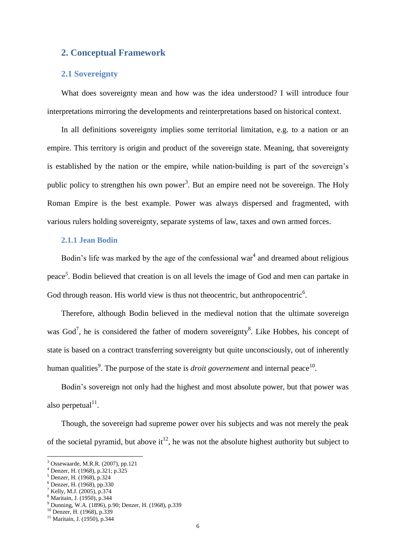# **2. Conceptual Framework**

# **2.1 Sovereignty**

What does sovereignty mean and how was the idea understood? I will introduce four interpretations mirroring the developments and reinterpretations based on historical context.

In all definitions sovereignty implies some territorial limitation, e.g. to a nation or an empire. This territory is origin and product of the sovereign state. Meaning, that sovereignty is established by the nation or the empire, while nation-building is part of the sovereign's public policy to strengthen his own power<sup>3</sup>. But an empire need not be sovereign. The Holy Roman Empire is the best example. Power was always dispersed and fragmented, with various rulers holding sovereignty, separate systems of law, taxes and own armed forces.

#### **2.1.1 Jean Bodin**

Bodin's life was marked by the age of the confessional war<sup>4</sup> and dreamed about religious peace *5* . Bodin believed that creation is on all levels the image of God and men can partake in God through reason. His world view is thus not theocentric, but anthropocentric $6$ .

Therefore, although Bodin believed in the medieval notion that the ultimate sovereign was God<sup>7</sup>, he is considered the father of modern sovereignty<sup>8</sup>. Like Hobbes, his concept of state is based on a contract transferring sovereignty but quite unconsciously, out of inherently human qualities<sup>9</sup>. The purpose of the state is *droit governement* and internal peace<sup>10</sup>.

Bodin"s sovereign not only had the highest and most absolute power, but that power was also perpetual $11$ .

Though, the sovereign had supreme power over his subjects and was not merely the peak of the societal pyramid, but above it<sup>12</sup>, he was not the absolute highest authority but subject to

 $\overline{a}$ 

<sup>8</sup> Maritain, J. (1950), p.344

<sup>3</sup> Ossewaarde, M.R.R. (2007), pp.121

<sup>4</sup> Denzer, H. (1968), p.321; p.325

 $<sup>5</sup>$  Denzer, H. (1968), p.324</sup>  $^6$  Denzer, H. (1968), pp.330

<sup>7</sup> Kelly, M.J. (2005), p.374

<sup>9</sup> Dunning, W.A. (1896), p.90; Denzer, H. (1968), p.339

<sup>10</sup> Denzer, H. (1968), p.339

<sup>11</sup> Maritain, J. (1950), p.344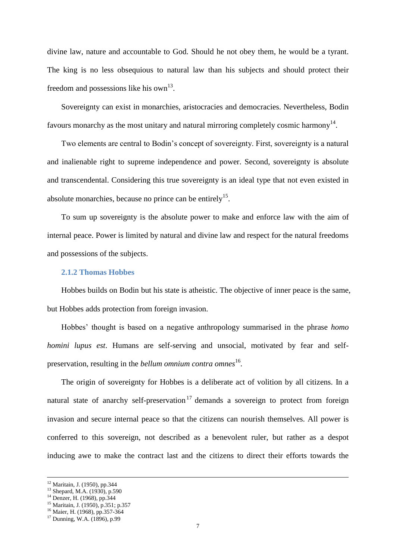divine law, nature and accountable to God. Should he not obey them, he would be a tyrant. The king is no less obsequious to natural law than his subjects and should protect their freedom and possessions like his own $^{13}$ .

Sovereignty can exist in monarchies, aristocracies and democracies. Nevertheless, Bodin favours monarchy as the most unitary and natural mirroring completely cosmic harmony<sup>14</sup>.

Two elements are central to Bodin"s concept of sovereignty. First, sovereignty is a natural and inalienable right to supreme independence and power. Second, sovereignty is absolute and transcendental. Considering this true sovereignty is an ideal type that not even existed in absolute monarchies, because no prince can be entirely<sup>15</sup>.

To sum up sovereignty is the absolute power to make and enforce law with the aim of internal peace. Power is limited by natural and divine law and respect for the natural freedoms and possessions of the subjects.

#### **2.1.2 Thomas Hobbes**

Hobbes builds on Bodin but his state is atheistic. The objective of inner peace is the same, but Hobbes adds protection from foreign invasion.

Hobbes" thought is based on a negative anthropology summarised in the phrase *homo homini lupus est*. Humans are self-serving and unsocial, motivated by fear and selfpreservation, resulting in the *bellum omnium contra omnes*<sup>16</sup>.

The origin of sovereignty for Hobbes is a deliberate act of volition by all citizens. In a natural state of anarchy self-preservation<sup>17</sup> demands a sovereign to protect from foreign invasion and secure internal peace so that the citizens can nourish themselves. All power is conferred to this sovereign, not described as a benevolent ruler, but rather as a despot inducing awe to make the contract last and the citizens to direct their efforts towards the

<sup>&</sup>lt;sup>12</sup> Maritain, J. (1950), pp.344

<sup>&</sup>lt;sup>13</sup> Shepard, M.A. (1930), p.590

 $14$  Denzer, H. (1968), pp.344

<sup>&</sup>lt;sup>15</sup> Maritain, J. (1950), p.351; p.357

<sup>16</sup> Maier, H. (1968), pp.357-364

<sup>17</sup> Dunning, W.A. (1896), p.99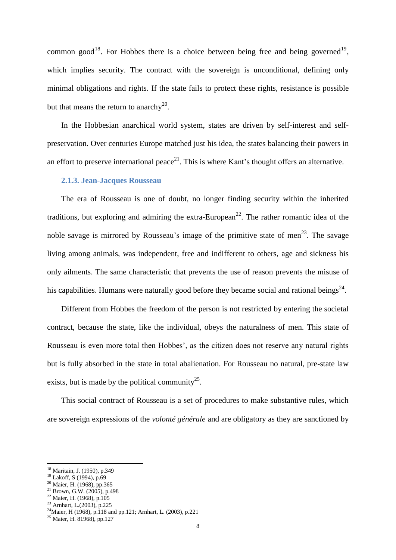common good<sup>18</sup>. For Hobbes there is a choice between being free and being governed<sup>19</sup>, which implies security. The contract with the sovereign is unconditional, defining only minimal obligations and rights. If the state fails to protect these rights, resistance is possible but that means the return to anarchy<sup>20</sup>.

In the Hobbesian anarchical world system, states are driven by self-interest and selfpreservation. Over centuries Europe matched just his idea, the states balancing their powers in an effort to preserve international peace<sup>21</sup>. This is where Kant's thought offers an alternative.

# **2.1.3. Jean-Jacques Rousseau**

The era of Rousseau is one of doubt, no longer finding security within the inherited traditions, but exploring and admiring the extra-European<sup>22</sup>. The rather romantic idea of the noble savage is mirrored by Rousseau's image of the primitive state of men<sup>23</sup>. The savage living among animals, was independent, free and indifferent to others, age and sickness his only ailments. The same characteristic that prevents the use of reason prevents the misuse of his capabilities. Humans were naturally good before they became social and rational beings<sup>24</sup>.

Different from Hobbes the freedom of the person is not restricted by entering the societal contract, because the state, like the individual, obeys the naturalness of men. This state of Rousseau is even more total then Hobbes', as the citizen does not reserve any natural rights but is fully absorbed in the state in total abalienation. For Rousseau no natural, pre-state law exists, but is made by the political community<sup>25</sup>.

This social contract of Rousseau is a set of procedures to make substantive rules, which are sovereign expressions of the *volonté générale* and are obligatory as they are sanctioned by

<sup>18</sup> Maritain, J. (1950), p.349

 $19$  Lakoff, S (1994), p.69

 $^{20}$  Maier, H. (1968), pp.365  $21$  Brown, G.W. (2005), p.498

 $22$  Maier, H. (1968), p.105

<sup>23</sup> Arnhart, L.(2003), p.225

<sup>&</sup>lt;sup>24</sup>Maier, H (1968), p.118 and pp.121; Arnhart, L. (2003), p.221

<sup>&</sup>lt;sup>25</sup> Maier, H. 81968), pp.127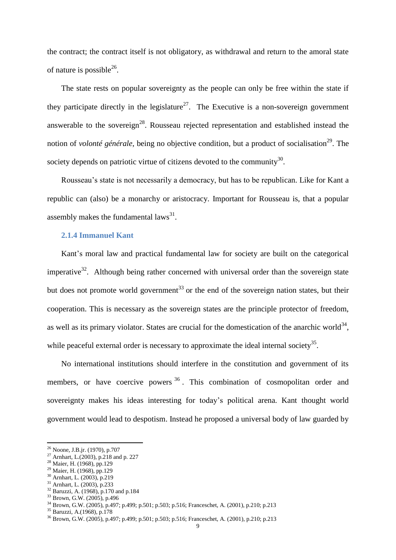the contract; the contract itself is not obligatory, as withdrawal and return to the amoral state of nature is possible<sup>26</sup>.

The state rests on popular sovereignty as the people can only be free within the state if they participate directly in the legislature<sup>27</sup>. The Executive is a non-sovereign government answerable to the sovereign<sup>28</sup>. Rousseau rejected representation and established instead the notion of *volonté générale*, being no objective condition, but a product of socialisation<sup>29</sup>. The society depends on patriotic virtue of citizens devoted to the community<sup>30</sup>.

Rousseau"s state is not necessarily a democracy, but has to be republican. Like for Kant a republic can (also) be a monarchy or aristocracy. Important for Rousseau is, that a popular assembly makes the fundamental  $laws^{31}$ .

#### **2.1.4 Immanuel Kant**

Kant"s moral law and practical fundamental law for society are built on the categorical imperative<sup>32</sup>. Although being rather concerned with universal order than the sovereign state but does not promote world government<sup>33</sup> or the end of the sovereign nation states, but their cooperation. This is necessary as the sovereign states are the principle protector of freedom, as well as its primary violator. States are crucial for the domestication of the anarchic world<sup>34</sup>, while peaceful external order is necessary to approximate the ideal internal society<sup>35</sup>.

No international institutions should interfere in the constitution and government of its members, or have coercive powers <sup>36</sup>. This combination of cosmopolitan order and sovereignty makes his ideas interesting for today"s political arena. Kant thought world government would lead to despotism. Instead he proposed a universal body of law guarded by

<sup>26</sup> Noone, J.B.jr. (1970), p.707

<sup>&</sup>lt;sup>27</sup> Arnhart, L.(2003), p.218 and p. 227

<sup>28</sup> Maier, H. (1968), pp.129

<sup>29</sup> Maier, H. (1968), pp.129

<sup>30</sup> Arnhart, L. (2003), p.219

<sup>&</sup>lt;sup>31</sup> Arnhart, L. (2003), p.233

<sup>&</sup>lt;sup>32</sup> Baruzzi, A. (1968), p.170 and p.184

<sup>33</sup> Brown, G.W. (2005), p.496

<sup>34</sup> Brown, G.W. (2005), p.497; p.499; p.501; p.503; p.516; Franceschet, A. (2001), p.210; p.213

<sup>35</sup> Baruzzi, A.(1968), p.178

<sup>36</sup> Brown, G.W. (2005), p.497; p.499; p.501; p.503; p.516; Franceschet, A. (2001), p.210; p.213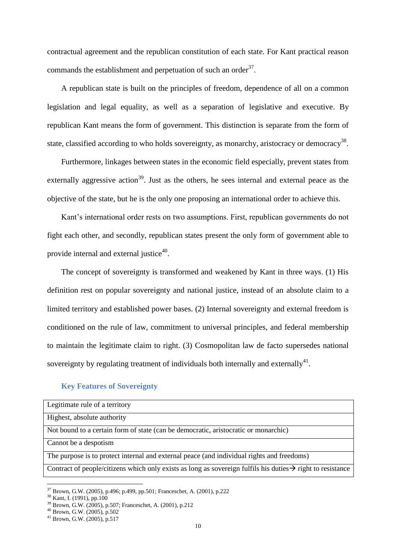contractual agreement and the republican constitution of each state. For Kant practical reason commands the establishment and perpetuation of such an order $3^7$ .

A republican state is built on the principles of freedom, dependence of all on a common legislation and legal equality, as well as a separation of legislative and executive. By republican Kant means the form of government. This distinction is separate from the form of state, classified according to who holds sovereignty, as monarchy, aristocracy or democracy<sup>38</sup>.

Furthermore, linkages between states in the economic field especially, prevent states from externally aggressive action<sup>39</sup>. Just as the others, he sees internal and external peace as the objective of the state, but he is the only one proposing an international order to achieve this.

Kant's international order rests on two assumptions. First, republican governments do not fight each other, and secondly, republican states present the only form of government able to provide internal and external justice<sup>40</sup>.

The concept of sovereignty is transformed and weakened by Kant in three ways. (1) His definition rest on popular sovereignty and national justice, instead of an absolute claim to a limited territory and established power bases. (2) Internal sovereignty and external freedom is conditioned on the rule of law, commitment to universal principles, and federal membership to maintain the legitimate claim to right. (3) Cosmopolitan law de facto supersedes national sovereignty by regulating treatment of individuals both internally and externally<sup>41</sup>.

# **Key Features of Sovereignty**

| Legitimate rule of a territory                                                                                          |
|-------------------------------------------------------------------------------------------------------------------------|
| Highest, absolute authority                                                                                             |
| Not bound to a certain form of state (can be democratic, aristocratic or monarchic)                                     |
| Cannot be a despotism                                                                                                   |
| The purpose is to protect internal and external peace (and individual rights and freedoms)                              |
| Contract of people/citizens which only exists as long as sovereign fulfils his duties $\rightarrow$ right to resistance |

<sup>37</sup> Brown, G.W. (2005), p.496; p.499, pp.501; Franceschet, A. (2001), p.222

<sup>&</sup>lt;sup>38</sup> Kant, I. (1991), pp.100

<sup>39</sup> Brown, G.W. (2005), p.507; Franceschet, A. (2001), p.212

<sup>40</sup> Brown, G.W. (2005), p.502

<sup>41</sup> Brown, G.W. (2005), p.517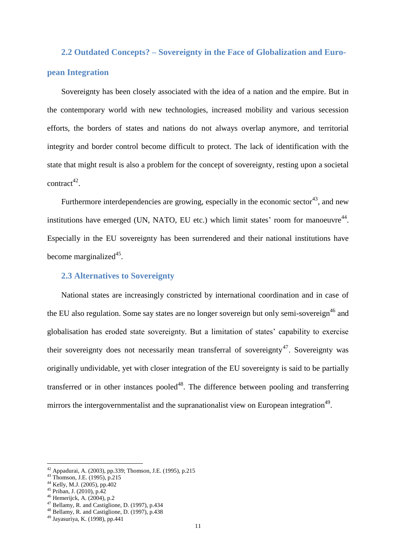# **2.2 Outdated Concepts? – Sovereignty in the Face of Globalization and European Integration**

Sovereignty has been closely associated with the idea of a nation and the empire. But in the contemporary world with new technologies, increased mobility and various secession efforts, the borders of states and nations do not always overlap anymore, and territorial integrity and border control become difficult to protect. The lack of identification with the state that might result is also a problem for the concept of sovereignty, resting upon a societal  $control^{42}$ .

Furthermore interdependencies are growing, especially in the economic sector<sup>43</sup>, and new institutions have emerged (UN, NATO, EU etc.) which limit states' room for manoeuvre $^{44}$ . Especially in the EU sovereignty has been surrendered and their national institutions have become marginalized<sup>45</sup>.

# **2.3 Alternatives to Sovereignty**

National states are increasingly constricted by international coordination and in case of the EU also regulation. Some say states are no longer sovereign but only semi-sovereign<sup>46</sup> and globalisation has eroded state sovereignty. But a limitation of states" capability to exercise their sovereignty does not necessarily mean transferral of sovereignty<sup>47</sup>. Sovereignty was originally undividable, yet with closer integration of the EU sovereignty is said to be partially transferred or in other instances pooled<sup>48</sup>. The difference between pooling and transferring mirrors the intergovernmentalist and the supranationalist view on European integration<sup>49</sup>.

<sup>42</sup> Appadurai, A. (2003), pp.339; Thomson, J.E. (1995), p.215

 $^{43}$  Thomson, J.E. (1995), p.215

 $^{44}$  Kelly, M.J. (2005), pp.402

 $45$  Priban, J. (2010), p.42

<sup>46</sup> Hemerijck, A. (2004), p.2

<sup>47</sup> Bellamy, R. and Castiglione, D. (1997), p.434

<sup>48</sup> Bellamy, R. and Castiglione, D. (1997), p.438

<sup>49</sup> Jayasuriya, K. (1998), pp.441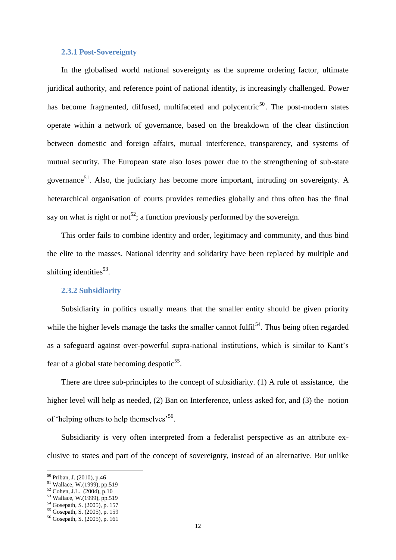#### **2.3.1 Post-Sovereignty**

In the globalised world national sovereignty as the supreme ordering factor, ultimate juridical authority, and reference point of national identity, is increasingly challenged. Power has become fragmented, diffused, multifaceted and polycentric<sup>50</sup>. The post-modern states operate within a network of governance, based on the breakdown of the clear distinction between domestic and foreign affairs, mutual interference, transparency, and systems of mutual security. The European state also loses power due to the strengthening of sub-state governance<sup>51</sup>. Also, the judiciary has become more important, intruding on sovereignty. A heterarchical organisation of courts provides remedies globally and thus often has the final say on what is right or not<sup>52</sup>; a function previously performed by the sovereign.

This order fails to combine identity and order, legitimacy and community, and thus bind the elite to the masses. National identity and solidarity have been replaced by multiple and shifting identities $^{53}$ .

#### **2.3.2 Subsidiarity**

Subsidiarity in politics usually means that the smaller entity should be given priority while the higher levels manage the tasks the smaller cannot fulfil<sup>54</sup>. Thus being often regarded as a safeguard against over-powerful supra-national institutions, which is similar to Kant"s fear of a global state becoming despotic<sup>55</sup>.

There are three sub-principles to the concept of subsidiarity. (1) A rule of assistance, the higher level will help as needed, (2) Ban on Interference, unless asked for, and (3) the notion of 'helping others to help themselves<sup>56</sup>.

Subsidiarity is very often interpreted from a federalist perspective as an attribute exclusive to states and part of the concept of sovereignty, instead of an alternative. But unlike

<sup>50</sup> Priban, J. (2010), p.46

<sup>&</sup>lt;sup>51</sup> Wallace, W.(1999), pp.519

 $52$  Cohen, J.L. (2004), p.10

<sup>53</sup> Wallace, W.(1999), pp.519

<sup>54</sup> Gosepath, S. (2005), p. 157

<sup>55</sup> Gosepath, S. (2005), p. 159

<sup>56</sup> Gosepath, S. (2005), p. 161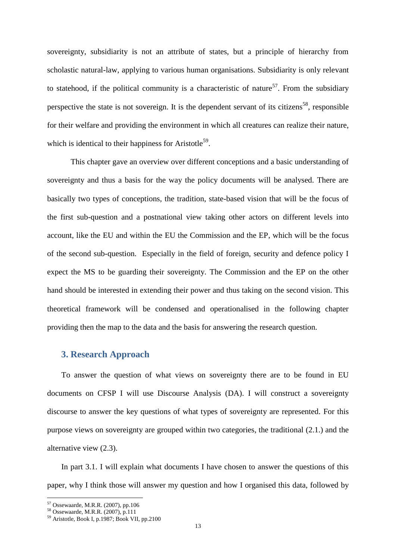sovereignty, subsidiarity is not an attribute of states, but a principle of hierarchy from scholastic natural-law, applying to various human organisations. Subsidiarity is only relevant to statehood, if the political community is a characteristic of nature<sup>57</sup>. From the subsidiary perspective the state is not sovereign. It is the dependent servant of its citizens<sup>58</sup>, responsible for their welfare and providing the environment in which all creatures can realize their nature, which is identical to their happiness for Aristotle<sup>59</sup>.

This chapter gave an overview over different conceptions and a basic understanding of sovereignty and thus a basis for the way the policy documents will be analysed. There are basically two types of conceptions, the tradition, state-based vision that will be the focus of the first sub-question and a postnational view taking other actors on different levels into account, like the EU and within the EU the Commission and the EP, which will be the focus of the second sub-question. Especially in the field of foreign, security and defence policy I expect the MS to be guarding their sovereignty. The Commission and the EP on the other hand should be interested in extending their power and thus taking on the second vision. This theoretical framework will be condensed and operationalised in the following chapter providing then the map to the data and the basis for answering the research question.

# **3. Research Approach**

To answer the question of what views on sovereignty there are to be found in EU documents on CFSP I will use Discourse Analysis (DA). I will construct a sovereignty discourse to answer the key questions of what types of sovereignty are represented. For this purpose views on sovereignty are grouped within two categories, the traditional (2.1.) and the alternative view (2.3).

In part 3.1. I will explain what documents I have chosen to answer the questions of this paper, why I think those will answer my question and how I organised this data, followed by

<sup>57</sup> Ossewaarde, M.R.R. (2007), pp.106

<sup>58</sup> Ossewaarde, M.R.R. (2007), p.111

<sup>59</sup> Aristotle, Book I, p.1987; Book VII, pp.2100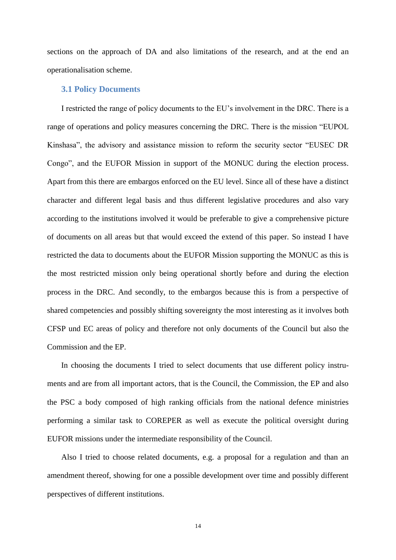sections on the approach of DA and also limitations of the research, and at the end an operationalisation scheme.

#### **3.1 Policy Documents**

I restricted the range of policy documents to the EU"s involvement in the DRC. There is a range of operations and policy measures concerning the DRC. There is the mission "EUPOL Kinshasa", the advisory and assistance mission to reform the security sector "EUSEC DR Congo", and the EUFOR Mission in support of the MONUC during the election process. Apart from this there are embargos enforced on the EU level. Since all of these have a distinct character and different legal basis and thus different legislative procedures and also vary according to the institutions involved it would be preferable to give a comprehensive picture of documents on all areas but that would exceed the extend of this paper. So instead I have restricted the data to documents about the EUFOR Mission supporting the MONUC as this is the most restricted mission only being operational shortly before and during the election process in the DRC. And secondly, to the embargos because this is from a perspective of shared competencies and possibly shifting sovereignty the most interesting as it involves both CFSP und EC areas of policy and therefore not only documents of the Council but also the Commission and the EP.

In choosing the documents I tried to select documents that use different policy instruments and are from all important actors, that is the Council, the Commission, the EP and also the PSC a body composed of high ranking officials from the national defence ministries performing a similar task to COREPER as well as execute the political oversight during EUFOR missions under the intermediate responsibility of the Council.

Also I tried to choose related documents, e.g. a proposal for a regulation and than an amendment thereof, showing for one a possible development over time and possibly different perspectives of different institutions.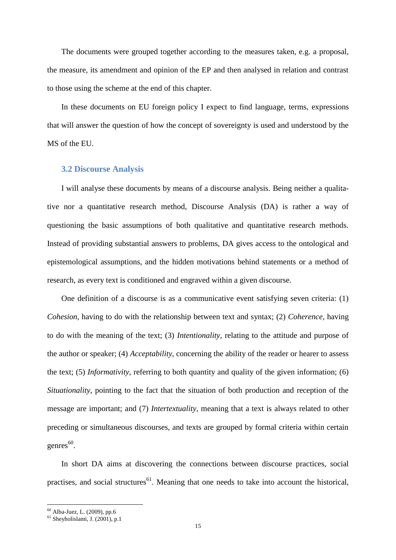The documents were grouped together according to the measures taken, e.g. a proposal, the measure, its amendment and opinion of the EP and then analysed in relation and contrast to those using the scheme at the end of this chapter.

In these documents on EU foreign policy I expect to find language, terms, expressions that will answer the question of how the concept of sovereignty is used and understood by the MS of the EU.

#### **3.2 Discourse Analysis**

I will analyse these documents by means of a discourse analysis. Being neither a qualitative nor a quantitative research method, Discourse Analysis (DA) is rather a way of questioning the basic assumptions of both qualitative and quantitative research methods. Instead of providing substantial answers to problems, DA gives access to the ontological and epistemological assumptions, and the hidden motivations behind statements or a method of research, as every text is conditioned and engraved within a given discourse.

One definition of a discourse is as a communicative event satisfying seven criteria: (1) *Cohesion*, having to do with the relationship between text and syntax; (2) *Coherence*, having to do with the meaning of the text; (3) *Intentionality*, relating to the attitude and purpose of the author or speaker; (4) *Acceptability*, concerning the ability of the reader or hearer to assess the text; (5) *Informativity*, referring to both quantity and quality of the given information; (6) *Situationality*, pointing to the fact that the situation of both production and reception of the message are important; and (7) *Intertextuality*, meaning that a text is always related to other preceding or simultaneous discourses, and texts are grouped by formal criteria within certain  $g$ enres<sup>60</sup>.

In short DA aims at discovering the connections between discourse practices, social practises, and social structures<sup>61</sup>. Meaning that one needs to take into account the historical,

<sup>60</sup> Alba-Juez, L. (2009), pp.6

 $61$  Sheyholislami, J. (2001), p.1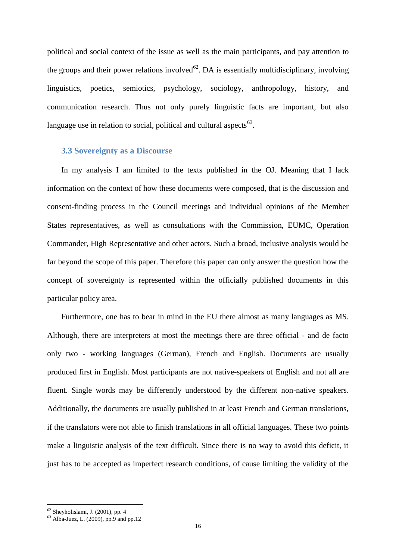political and social context of the issue as well as the main participants, and pay attention to the groups and their power relations involved<sup>62</sup>. DA is essentially multidisciplinary, involving linguistics, poetics, semiotics, psychology, sociology, anthropology, history, and communication research. Thus not only purely linguistic facts are important, but also language use in relation to social, political and cultural aspects $^{63}$ .

#### **3.3 Sovereignty as a Discourse**

In my analysis I am limited to the texts published in the OJ. Meaning that I lack information on the context of how these documents were composed, that is the discussion and consent-finding process in the Council meetings and individual opinions of the Member States representatives, as well as consultations with the Commission, EUMC, Operation Commander, High Representative and other actors. Such a broad, inclusive analysis would be far beyond the scope of this paper. Therefore this paper can only answer the question how the concept of sovereignty is represented within the officially published documents in this particular policy area.

Furthermore, one has to bear in mind in the EU there almost as many languages as MS. Although, there are interpreters at most the meetings there are three official - and de facto only two - working languages (German), French and English. Documents are usually produced first in English. Most participants are not native-speakers of English and not all are fluent. Single words may be differently understood by the different non-native speakers. Additionally, the documents are usually published in at least French and German translations, if the translators were not able to finish translations in all official languages. These two points make a linguistic analysis of the text difficult. Since there is no way to avoid this deficit, it just has to be accepted as imperfect research conditions, of cause limiting the validity of the

 $62$  Sheyholislami, J. (2001), pp. 4

 $63$  Alba-Juez, L. (2009), pp.9 and pp.12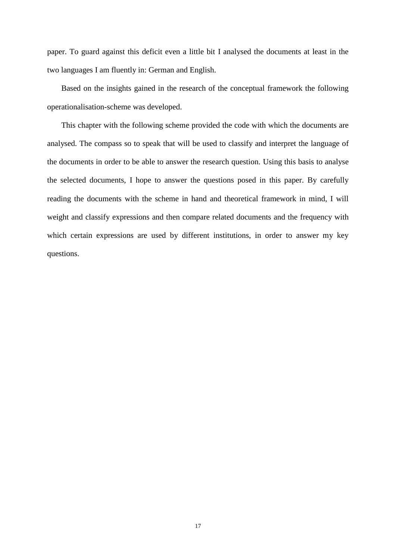paper. To guard against this deficit even a little bit I analysed the documents at least in the two languages I am fluently in: German and English.

Based on the insights gained in the research of the conceptual framework the following operationalisation-scheme was developed.

This chapter with the following scheme provided the code with which the documents are analysed. The compass so to speak that will be used to classify and interpret the language of the documents in order to be able to answer the research question. Using this basis to analyse the selected documents, I hope to answer the questions posed in this paper. By carefully reading the documents with the scheme in hand and theoretical framework in mind, I will weight and classify expressions and then compare related documents and the frequency with which certain expressions are used by different institutions, in order to answer my key questions.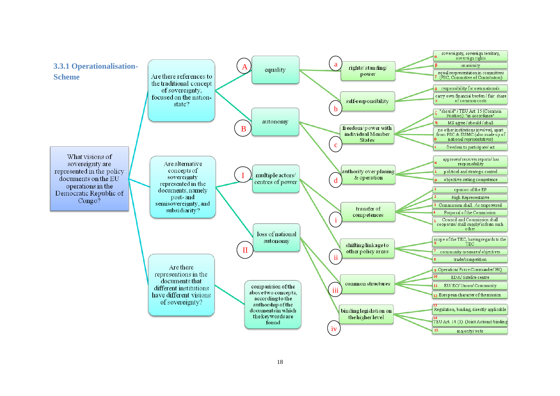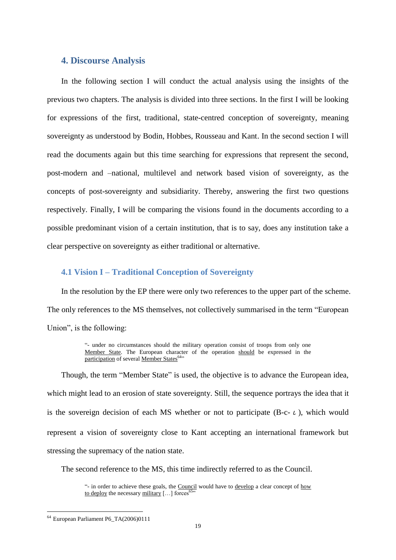# **4. Discourse Analysis**

In the following section I will conduct the actual analysis using the insights of the previous two chapters. The analysis is divided into three sections. In the first I will be looking for expressions of the first, traditional, state-centred conception of sovereignty, meaning sovereignty as understood by Bodin, Hobbes, Rousseau and Kant. In the second section I will read the documents again but this time searching for expressions that represent the second, post-modern and –national, multilevel and network based vision of sovereignty, as the concepts of post-sovereignty and subsidiarity. Thereby, answering the first two questions respectively. Finally, I will be comparing the visions found in the documents according to a possible predominant vision of a certain institution, that is to say, does any institution take a clear perspective on sovereignty as either traditional or alternative.

#### **4.1 Vision I – Traditional Conception of Sovereignty**

In the resolution by the EP there were only two references to the upper part of the scheme. The only references to the MS themselves, not collectively summarised in the term "European Union", is the following:

> "- under no circumstances should the military operation consist of troops from only one Member State. The European character of the operation should be expressed in the participation of several Member States<sup>64</sup>"

Though, the term "Member State" is used, the objective is to advance the European idea, which might lead to an erosion of state sovereignty. Still, the sequence portrays the idea that it is the sovereign decision of each MS whether or not to participate (B-c- $\iota$ ), which would represent a vision of sovereignty close to Kant accepting an international framework but stressing the supremacy of the nation state.

The second reference to the MS, this time indirectly referred to as the Council.

1

<sup>&</sup>quot;- in order to achieve these goals, the Council would have to develop a clear concept of how to deploy the necessary military  $[\,\ldots]$  forces<sup>6</sup>

<sup>64</sup> European Parliament P6\_TA(2006)0111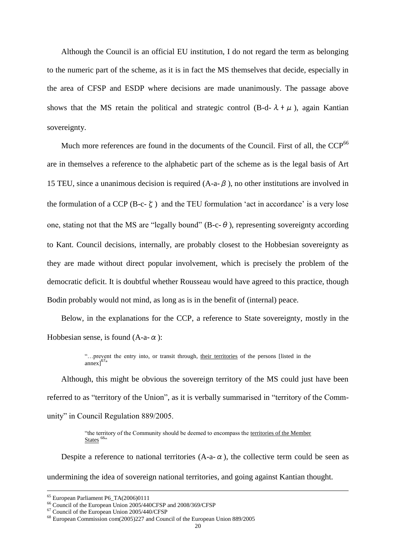Although the Council is an official EU institution, I do not regard the term as belonging to the numeric part of the scheme, as it is in fact the MS themselves that decide, especially in the area of CFSP and ESDP where decisions are made unanimously. The passage above shows that the MS retain the political and strategic control (B-d- $\lambda + \mu$ ), again Kantian sovereignty.

Much more references are found in the documents of the Council. First of all, the CCP<sup>66</sup> are in themselves a reference to the alphabetic part of the scheme as is the legal basis of Art 15 TEU, since a unanimous decision is required  $(A-a-\beta)$ , no other institutions are involved in the formulation of a CCP (B-c- $\zeta$ ) and the TEU formulation 'act in accordance' is a very lose one, stating not that the MS are "legally bound" (B-c- $\theta$ ), representing sovereignty according to Kant. Council decisions, internally, are probably closest to the Hobbesian sovereignty as they are made without direct popular involvement, which is precisely the problem of the democratic deficit. It is doubtful whether Rousseau would have agreed to this practice, though Bodin probably would not mind, as long as is in the benefit of (internal) peace.

Below, in the explanations for the CCP, a reference to State sovereignty, mostly in the Hobbesian sense, is found  $(A-a-\alpha)$ :

> "…prevent the entry into, or transit through, their territories of the persons [listed in the annex]<sup>67</sup>"

Although, this might be obvious the sovereign territory of the MS could just have been referred to as "territory of the Union", as it is verbally summarised in "territory of the Community" in Council Regulation 889/2005.

> "the territory of the Community should be deemed to encompass the territories of the Member  $\frac{\text{States}}{\text{}}$  68.

Despite a reference to national territories  $(A-a-\alpha)$ , the collective term could be seen as undermining the idea of sovereign national territories, and going against Kantian thought.

<sup>65</sup> European Parliament P6\_TA(2006)0111

<sup>66</sup> Council of the European Union 2005/440CFSP and 2008/369/CFSP

<sup>67</sup> Council of the European Union 2005/440/CFSP

<sup>68</sup> European Commission com(2005)227 and Council of the European Union 889/2005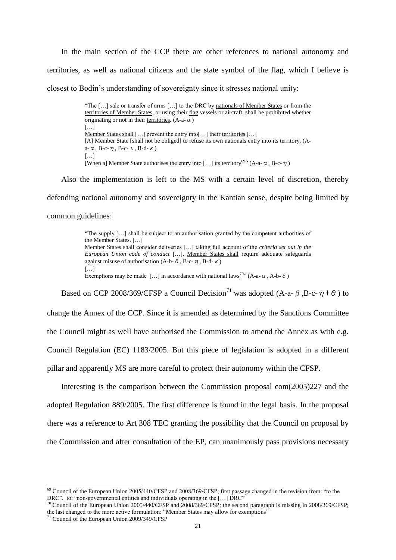In the main section of the CCP there are other references to national autonomy and territories, as well as national citizens and the state symbol of the flag, which I believe is closest to Bodin"s understanding of sovereignty since it stresses national unity:

> "The [...] sale or transfer of arms [...] to the DRC by nationals of Member States or from the territories of Member States, or using their flag vessels or aircraft, shall be prohibited whether originating or not in their territories. (A-a- $\alpha$ ) […] Member States shall [...] prevent the entry into [...] their territories [...] [A] Member State [shall not be obliged] to refuse its own nationals entry into its territory. (Aa- $\alpha$ , B-c- $\eta$ , B-c- $\iota$ , B-d- $\kappa$ ) […] [When a] Member State authorises the entry into [...] its territory<sup>69</sup>  $(A-a-a, B-c- $\eta$ )$

Also the implementation is left to the MS with a certain level of discretion, thereby

defending national autonomy and sovereignty in the Kantian sense, despite being limited by common guidelines:

> "The supply […] shall be subject to an authorisation granted by the competent authorities of the Member States. […] Member States shall consider deliveries […] taking full account of the *criteria set out in the European Union code of conduct* […]. Member States shall require adequate safeguards against misuse of authorisation (A-b- $\delta$ , B-c- $\eta$ , B-d- $\kappa$ ) […] Exemptions may be made […] in accordance with national laws<sup>70</sup> (A-a- $\alpha$ , A-b- $\delta$ )

Based on CCP 2008/369/CFSP a Council Decision<sup>71</sup> was adopted (A-a- $\beta$ , B-c- $\eta$ + $\theta$ ) to

change the Annex of the CCP. Since it is amended as determined by the Sanctions Committee the Council might as well have authorised the Commission to amend the Annex as with e.g. Council Regulation (EC) 1183/2005. But this piece of legislation is adopted in a different pillar and apparently MS are more careful to protect their autonomy within the CFSP.

Interesting is the comparison between the Commission proposal com(2005)227 and the adopted Regulation 889/2005. The first difference is found in the legal basis. In the proposal there was a reference to Art 308 TEC granting the possibility that the Council on proposal by the Commission and after consultation of the EP, can unanimously pass provisions necessary

<u>.</u>

 $^{69}$  Council of the European Union 2005/440/CFSP and 2008/369/CFSP; first passage changed in the revision from: "to the DRC", to: "non-governmental entities and individuals operating in the [...] DRC"

 $^{70}$  Council of the European Union 2005/440/CFSP and 2008/369/CFSP; the second paragraph is missing in 2008/369/CFSP; the last changed to the more active formulation: "Member States may allow for exemptions"

<sup>71</sup> Council of the European Union 2009/349/CFSP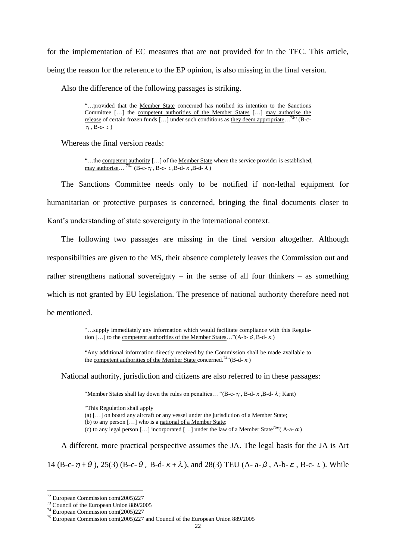for the implementation of EC measures that are not provided for in the TEC. This article, being the reason for the reference to the EP opinion, is also missing in the final version.

Also the difference of the following passages is striking.

"…provided that the Member State concerned has notified its intention to the Sanctions Committee […] the competent authorities of the Member States […] may authorise the release of certain frozen funds  $[\dots]$  under such conditions as they deem appropriate...<sup>72</sup><sup>"</sup> (B-c- $\eta$ , B-c- $\iota$ )

Whereas the final version reads:

"...the competent authority [...] of the Member State where the service provider is established, may authorise... <sup>73.4</sup> (B-c-  $\eta$ , B-c-  $\iota$ , B-d-  $\kappa$ , B-d-  $\lambda$ )

The Sanctions Committee needs only to be notified if non-lethal equipment for humanitarian or protective purposes is concerned, bringing the final documents closer to Kant"s understanding of state sovereignty in the international context.

The following two passages are missing in the final version altogether. Although responsibilities are given to the MS, their absence completely leaves the Commission out and rather strengthens national sovereignty – in the sense of all four thinkers – as something which is not granted by EU legislation. The presence of national authority therefore need not be mentioned.

> "…supply immediately any information which would facilitate compliance with this Regulation [...] to the <u>competent authorities of the Member States</u>..."(A-b-  $\delta$ , B-d- $\kappa$ )

> "Any additional information directly received by the Commission shall be made available to the competent authorities of the Member State concerned.<sup>74</sup>"(B-d- $\kappa$ )

National authority, jurisdiction and citizens are also referred to in these passages:

"Member States shall lay down the rules on penalties... "(B-c- $\eta$ , B-d- $\kappa$ , B-d- $\lambda$ ; Kant)

"This Regulation shall apply

(a) […] on board any aircraft or any vessel under the jurisdiction of a Member State;

(b) to any person […] who is a national of a Member State;

(c) to any legal person [...] incorporated [...] under the law of a Member State<sup>75</sup>"(A-a- $\alpha$ )

A different, more practical perspective assumes the JA. The legal basis for the JA is Art

14 (B-c- $\eta$  +  $\theta$ ), 25(3) (B-c- $\theta$ , B-d- $\kappa$  +  $\lambda$ ), and 28(3) TEU (A-a- $\beta$ , A-b- $\varepsilon$ , B-c- $\iota$ ). While

1

<sup>72</sup> European Commission com(2005)227

<sup>73</sup> Council of the European Union 889/2005

<sup>74</sup> European Commission com(2005)227

<sup>75</sup> European Commission com(2005)227 and Council of the European Union 889/2005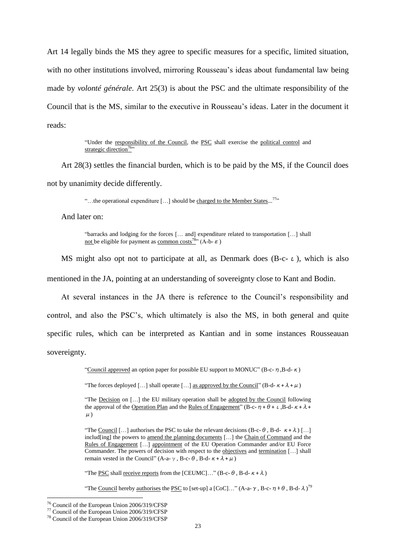Art 14 legally binds the MS they agree to specific measures for a specific, limited situation, with no other institutions involved, mirroring Rousseau's ideas about fundamental law being made by *volonté générale*. Art 25(3) is about the PSC and the ultimate responsibility of the Council that is the MS, similar to the executive in Rousseau"s ideas. Later in the document it reads:

> "Under the responsibility of the Council, the PSC shall exercise the political control and strategic direction<sup>76</sup>

Art 28(3) settles the financial burden, which is to be paid by the MS, if the Council does not by unanimity decide differently.

"...the operational expenditure  $[\dots]$  should be charged to the Member States...<sup>77</sup>"

And later on:

"barracks and lodging for the forces [… and] expenditure related to transportation […] shall not be eligible for payment as common costs<sup>78</sup>" (A-b- $\varepsilon$ )

MS might also opt not to participate at all, as Denmark does  $(B-c-1)$ , which is also

mentioned in the JA, pointing at an understanding of sovereignty close to Kant and Bodin.

At several instances in the JA there is reference to the Council"s responsibility and control, and also the PSC"s, which ultimately is also the MS, in both general and quite specific rules, which can be interpreted as Kantian and in some instances Rousseauan sovereignty.

"Council approved an option paper for possible EU support to MONUC" (B-c- $\eta$ , B-d- $\kappa$ )

"The forces deployed [...] shall operate [...] as approved by the Council" (B-d- $\kappa + \lambda + \mu$ )

"The Decision on […] the EU military operation shall be adopted by the Council following the approval of the Operation Plan and the Rules of Engagement" (B-c- $\eta + \theta + \iota$ , B-d- $\kappa + \lambda + \theta + \iota$  $\mu$ )

"The PSC shall receive reports from the [CEUMC]..." (B-c- $\theta$ , B-d- $\kappa + \lambda$ )

"The Council hereby authorises the PSC to [set-up] a [CoC]..." (A-a-  $\gamma$ , B-c- $\eta$  +  $\theta$ , B-d- $\lambda$ )<sup>79</sup>

1

<sup>&</sup>quot;The Council [...] authorises the PSC to take the relevant decisions  $(B-c-\theta, B-d-\kappa+\lambda)$  [...] includ[ing] the powers to amend the planning documents [...] the Chain of Command and the Rules of Engagement […] appointment of the EU Operation Commander and/or EU Force Commander. The powers of decision with respect to the objectives and termination […] shall remain vested in the Council" (A-a-γ, B-c-θ, B-d-κ+λ+μ)

<sup>76</sup> Council of the European Union 2006/319/CFSP

<sup>77</sup> Council of the European Union 2006/319/CFSP

<sup>78</sup> Council of the European Union 2006/319/CFSP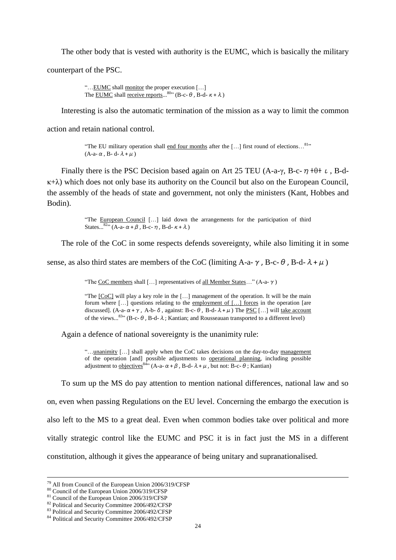The other body that is vested with authority is the EUMC, which is basically the military counterpart of the PSC.

> "…EUMC shall monitor the proper execution […] The **EUMC** shall receive reports...<sup>80</sup> $($ B-c- $\theta$ , B-d- $\kappa + \lambda)$

Interesting is also the automatic termination of the mission as a way to limit the common

action and retain national control.

"The EU military operation shall end four months after the  $[\dots]$  first round of elections...<sup>81</sup>"  $(A-a-\alpha, B-d-\lambda+\mu)$ 

Finally there is the PSC Decision based again on Art 25 TEU (A-a- $\gamma$ , B-c- $\eta$ + $\theta$ + $\iota$ , B-d- $\kappa+\lambda$ ) which does not only base its authority on the Council but also on the European Council, the assembly of the heads of state and government, not only the ministers (Kant, Hobbes and Bodin).

> "The European Council […] laid down the arrangements for the participation of third States...<sup>82</sup>" (A-a-  $\alpha + \beta$ , B-c-  $\eta$ , B-d-  $\kappa + \lambda$ )

The role of the CoC in some respects defends sovereignty, while also limiting it in some

sense, as also third states are members of the CoC (limiting A-a-γ, B-c-θ, B-d-λ+μ)

"The CoC members shall [...] representatives of all Member States..." (A-a- $\gamma$ )

"The  $[CoC]$  will play a key role in the  $[...]$  management of the operation. It will be the main forum where […] questions relating to the employment of […] forces in the operation [are discussed]. (A-a- $\alpha + \gamma$ , A-b-δ, against: B-c-θ, B-d-λ+μ) The PSC [...] will take account of the views...<sup>83</sup>" (B-c- $\theta$ , B-d- $\lambda$ ; Kantian; and Rousseauan transported to a different level)

Again a defence of national sovereignty is the unanimity rule:

"...unanimity [...] shall apply when the CoC takes decisions on the day-to-day management of the operation [and] possible adjustments to operational planning, including possible adjustment to <u>objectives</u><sup>84</sup><sup>2</sup> (A-a- $\alpha + \beta$ , B-d- $\lambda + \mu$ , but not: B-c- $\theta$ ; Kantian)

To sum up the MS do pay attention to mention national differences, national law and so on, even when passing Regulations on the EU level. Concerning the embargo the execution is also left to the MS to a great deal. Even when common bodies take over political and more vitally strategic control like the EUMC and PSC it is in fact just the MS in a different constitution, although it gives the appearance of being unitary and supranationalised.

<sup>79</sup> All from Council of the European Union 2006/319/CFSP

<sup>80</sup> Council of the European Union 2006/319/CFSP

<sup>81</sup> Council of the European Union 2006/319/CFSP

<sup>82</sup> Political and Security Committee 2006/492/CFSP

<sup>83</sup> Political and Security Committee 2006/492/CFSP

<sup>84</sup> Political and Security Committee 2006/492/CFSP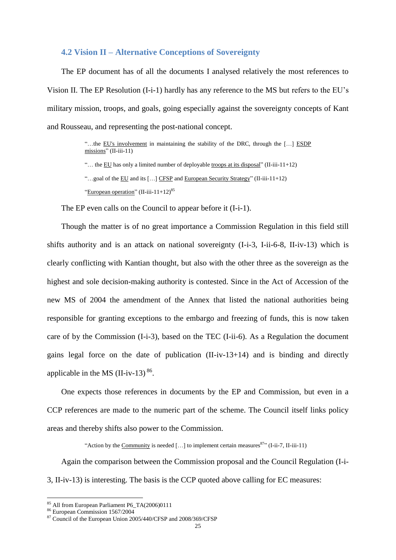#### **4.2 Vision II – Alternative Conceptions of Sovereignty**

The EP document has of all the documents I analysed relatively the most references to Vision II. The EP Resolution (I-i-1) hardly has any reference to the MS but refers to the EU"s military mission, troops, and goals, going especially against the sovereignty concepts of Kant and Rousseau, and representing the post-national concept.

> "…the EU's involvement in maintaining the stability of the DRC, through the […] ESDP  $mission's''$  (II-iii-11)

"... the EU has only a limited number of deployable troops at its disposal" (II-iii-11+12)

"European operation"  $(II-iii-11+12)^{85}$ 

The EP even calls on the Council to appear before it (I-i-1).

Though the matter is of no great importance a Commission Regulation in this field still shifts authority and is an attack on national sovereignty (I-i-3, I-ii-6-8, II-iv-13) which is clearly conflicting with Kantian thought, but also with the other three as the sovereign as the highest and sole decision-making authority is contested. Since in the Act of Accession of the new MS of 2004 the amendment of the Annex that listed the national authorities being responsible for granting exceptions to the embargo and freezing of funds, this is now taken care of by the Commission (I-i-3), based on the TEC (I-ii-6). As a Regulation the document gains legal force on the date of publication (II-iv-13+14) and is binding and directly applicable in the MS  $(II-iv-13)^{86}$ .

One expects those references in documents by the EP and Commission, but even in a CCP references are made to the numeric part of the scheme. The Council itself links policy areas and thereby shifts also power to the Commission.

"Action by the Community is needed [...] to implement certain measures $87$ " (I-ii-7, II-iii-11)

Again the comparison between the Commission proposal and the Council Regulation (I-i-3, II-iv-13) is interesting. The basis is the CCP quoted above calling for EC measures:

1

<sup>&</sup>quot;...goal of the  $\underline{EU}$  and its  $[...]$  CFSP and European Security Strategy" (II-iii-11+12)

<sup>&</sup>lt;sup>85</sup> All from European Parliament P6 TA(2006)0111

<sup>86</sup> European Commission 1567/2004

<sup>87</sup> Council of the European Union 2005/440/CFSP and 2008/369/CFSP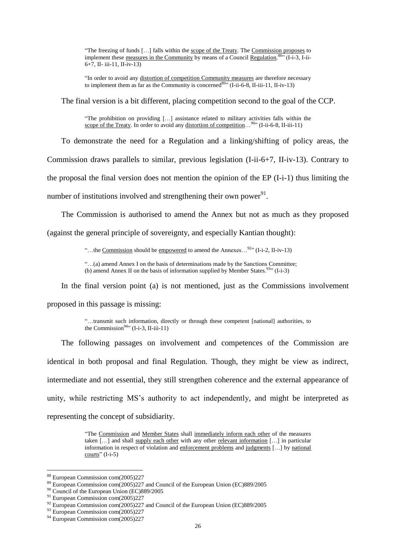"The freezing of funds […] falls within the scope of the Treaty. The Commission proposes to implement these measures in the Community by means of a Council Regulation.<sup>8857</sup> (I-i-3, I-ii- $6+7$ , II- iii-11, II-iv-13)

"In order to avoid any distortion of competition Community measures are therefore necessary to implement them as far as the Community is concerned<sup>89</sup><sup>39</sup> (I-ii-6-8, II-iii-11, II-iv-13)

The final version is a bit different, placing competition second to the goal of the CCP.

"The prohibition on providing […] assistance related to military activities falls within the scope of the Treaty. In order to avoid any distortion of competition...<sup>90</sup>" (I-ii-6-8, II-iii-11)

To demonstrate the need for a Regulation and a linking/shifting of policy areas, the Commission draws parallels to similar, previous legislation (I-ii-6+7, II-iv-13). Contrary to the proposal the final version does not mention the opinion of the EP (I-i-1) thus limiting the number of institutions involved and strengthening their own power $^{91}$ .

The Commission is authorised to amend the Annex but not as much as they proposed

(against the general principle of sovereignty, and especially Kantian thought):

"...the Commission should be empowered to amend the Annexes...<sup>92</sup>" (I-i-2, II-iv-13)

"…(a) amend Annex I on the basis of determinations made by the Sanctions Committee; (b) amend Annex II on the basis of information supplied by Member States.  $93$ <sup>33</sup> (I-i-3)

In the final version point (a) is not mentioned, just as the Commissions involvement proposed in this passage is missing:

> "…transmit such information, directly or through these competent [national] authorities, to the Commission $94$ <sup>94</sup> (I-i-3, II-iii-11)

The following passages on involvement and competences of the Commission are identical in both proposal and final Regulation. Though, they might be view as indirect, intermediate and not essential, they still strengthen coherence and the external appearance of unity, while restricting MS"s authority to act independently, and might be interpreted as representing the concept of subsidiarity.

> "The Commission and Member States shall immediately inform each other of the measures taken […] and shall supply each other with any other relevant information […] in particular information in respect of violation and enforcement problems and judgments […] by national  $counts''(I-i-5)$

<u>.</u>

<sup>88</sup> European Commission com(2005)227

<sup>89</sup> European Commission com(2005)227 and Council of the European Union (EC)889/2005

<sup>&</sup>lt;sup>90</sup> Council of the European Union (EC)889/2005

<sup>&</sup>lt;sup>91</sup> European Commission com(2005)227

 $92$  European Commission com(2005)227 and Council of the European Union (EC)889/2005

<sup>&</sup>lt;sup>93</sup> European Commission com(2005)227

<sup>&</sup>lt;sup>94</sup> European Commission com(2005)227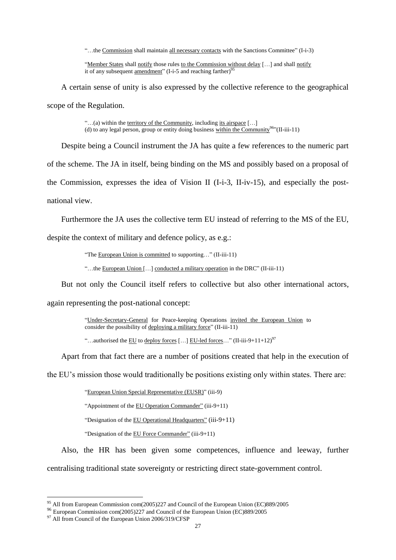"…the Commission shall maintain all necessary contacts with the Sanctions Committee" (I-i-3)

"Member States shall notify those rules to the Commission without delay [...] and shall notify it of any subsequent <u>amendment</u>" (I-i-5 and reaching farther)<sup>95</sup>

A certain sense of unity is also expressed by the collective reference to the geographical scope of the Regulation.

> "...(a) within the territory of the Community, including its airspace  $[\dots]$ (d) to any legal person, group or entity doing business within the Community<sup>96</sup>"(II-iii-11)

Despite being a Council instrument the JA has quite a few references to the numeric part

of the scheme. The JA in itself, being binding on the MS and possibly based on a proposal of

the Commission, expresses the idea of Vision II (I-i-3, II-iv-15), and especially the post-

national view.

Furthermore the JA uses the collective term EU instead of referring to the MS of the EU,

despite the context of military and defence policy, as e.g.:

"The European Union is committed to supporting…" (II-iii-11)

"…the European Union […] conducted a military operation in the DRC" (II-iii-11)

But not only the Council itself refers to collective but also other international actors,

again representing the post-national concept:

"Under-Secretary-General for Peace-keeping Operations invited the European Union to consider the possibility of deploying a military force"  $(II-iii-11)$ 

"...authorised the EU to deploy forces [...] EU-led forces..."  $(II-iii-9+11+12)^{97}$ 

Apart from that fact there are a number of positions created that help in the execution of

the EU"s mission those would traditionally be positions existing only within states. There are:

"European Union Special Representative (EUSR)" (iii-9)

"Appointment of the EU Operation Commander" (iii-9+11)

"Designation of the EU Operational Headquarters" (iii-9+11)

"Designation of the EU Force Commander" (iii-9+11)

Also, the HR has been given some competences, influence and leeway, further centralising traditional state sovereignty or restricting direct state-government control.

1

<sup>&</sup>lt;sup>95</sup> All from European Commission com(2005)227 and Council of the European Union (EC)889/2005

<sup>96</sup> European Commission com(2005)227 and Council of the European Union (EC)889/2005

<sup>&</sup>lt;sup>97</sup> All from Council of the European Union 2006/319/CFSP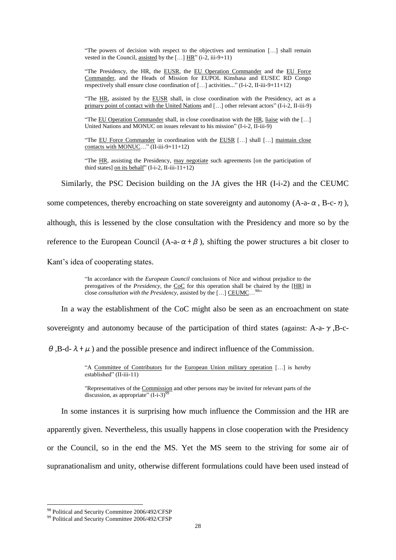"The powers of decision with respect to the objectives and termination […] shall remain vested in the Council, assisted by the […] HR" (i-2, iii-9+11)

"The Presidency, the HR, the EUSR, the EU Operation Commander and the EU Force Commander, and the Heads of Mission for EUPOL Kinshasa and EUSEC RD Congo respectively shall ensure close coordination of  $[...]$  activities..." (I-i-2, II-iii-9+11+12)

"The HR, assisted by the EUSR shall, in close coordination with the Presidency, act as a primary point of contact with the United Nations and [...] other relevant actors" (I-i-2, II-iii-9)

"The EU Operation Commander shall, in close coordination with the HR, liaise with the […] United Nations and MONUC on issues relevant to his mission" (I-i-2, II-iii-9)

"The EU Force Commander in coordination with the EUSR [...] shall [...] maintain close contacts with MONUC…" (II-iii-9+11+12)

"The HR, assisting the Presidency, may negotiate such agreements [on the participation of third states] on its behalf" (I-i-2, II-iii-11+12)

Similarly, the PSC Decision building on the JA gives the HR (I-i-2) and the CEUMC

some competences, thereby encroaching on state sovereignty and autonomy (A-a- $\alpha$ , B-c- $\eta$ ),

although, this is lessened by the close consultation with the Presidency and more so by the

reference to the European Council (A-a- $\alpha + \beta$ ), shifting the power structures a bit closer to

Kant"s idea of cooperating states.

"In accordance with the *European Council* conclusions of Nice and without prejudice to the prerogatives of the *Presidency*, the CoC for this operation shall be chaired by the [HR] in close *consultation with the Presidency*, assisted by the [...] CEUMC...<sup>98</sup>"

In a way the establishment of the CoC might also be seen as an encroachment on state

sovereignty and autonomy because of the participation of third states (against: A-a- $\gamma$ , B-c-

 $\theta$ ,B-d- $\lambda + \mu$ ) and the possible presence and indirect influence of the Commission.

"A Committee of Contributors for the European Union military operation […] is hereby established" (II-iii-11)

"Representatives of the Commission and other persons may be invited for relevant parts of the discussion, as appropriate"  $(I-i-3)^9$ 

In some instances it is surprising how much influence the Commission and the HR are apparently given. Nevertheless, this usually happens in close cooperation with the Presidency or the Council, so in the end the MS. Yet the MS seem to the striving for some air of supranationalism and unity, otherwise different formulations could have been used instead of

<u>.</u>

<sup>98</sup> Political and Security Committee 2006/492/CFSP

<sup>&</sup>lt;sup>99</sup> Political and Security Committee 2006/492/CFSP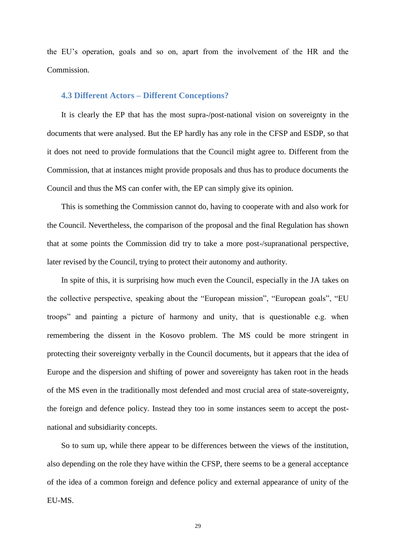the EU"s operation, goals and so on, apart from the involvement of the HR and the Commission.

#### **4.3 Different Actors – Different Conceptions?**

It is clearly the EP that has the most supra-/post-national vision on sovereignty in the documents that were analysed. But the EP hardly has any role in the CFSP and ESDP, so that it does not need to provide formulations that the Council might agree to. Different from the Commission, that at instances might provide proposals and thus has to produce documents the Council and thus the MS can confer with, the EP can simply give its opinion.

This is something the Commission cannot do, having to cooperate with and also work for the Council. Nevertheless, the comparison of the proposal and the final Regulation has shown that at some points the Commission did try to take a more post-/supranational perspective, later revised by the Council, trying to protect their autonomy and authority.

In spite of this, it is surprising how much even the Council, especially in the JA takes on the collective perspective, speaking about the "European mission", "European goals", "EU troops" and painting a picture of harmony and unity, that is questionable e.g. when remembering the dissent in the Kosovo problem. The MS could be more stringent in protecting their sovereignty verbally in the Council documents, but it appears that the idea of Europe and the dispersion and shifting of power and sovereignty has taken root in the heads of the MS even in the traditionally most defended and most crucial area of state-sovereignty, the foreign and defence policy. Instead they too in some instances seem to accept the postnational and subsidiarity concepts.

So to sum up, while there appear to be differences between the views of the institution, also depending on the role they have within the CFSP, there seems to be a general acceptance of the idea of a common foreign and defence policy and external appearance of unity of the EU-MS.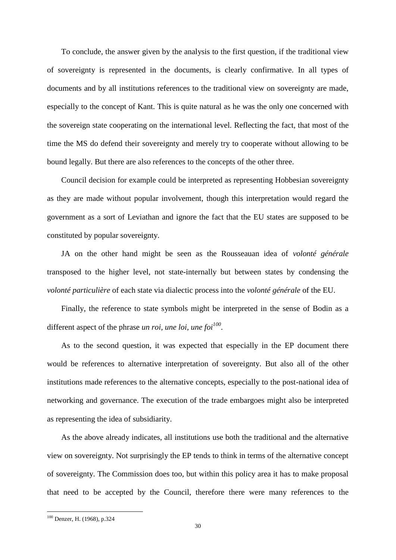To conclude, the answer given by the analysis to the first question, if the traditional view of sovereignty is represented in the documents, is clearly confirmative. In all types of documents and by all institutions references to the traditional view on sovereignty are made, especially to the concept of Kant. This is quite natural as he was the only one concerned with the sovereign state cooperating on the international level. Reflecting the fact, that most of the time the MS do defend their sovereignty and merely try to cooperate without allowing to be bound legally. But there are also references to the concepts of the other three.

Council decision for example could be interpreted as representing Hobbesian sovereignty as they are made without popular involvement, though this interpretation would regard the government as a sort of Leviathan and ignore the fact that the EU states are supposed to be constituted by popular sovereignty.

JA on the other hand might be seen as the Rousseauan idea of *volonté générale* transposed to the higher level, not state-internally but between states by condensing the *volonté particulière* of each state via dialectic process into the *volonté générale* of the EU.

Finally, the reference to state symbols might be interpreted in the sense of Bodin as a different aspect of the phrase *un roi, une loi, une foi<sup>100</sup> .*

As to the second question, it was expected that especially in the EP document there would be references to alternative interpretation of sovereignty. But also all of the other institutions made references to the alternative concepts, especially to the post-national idea of networking and governance. The execution of the trade embargoes might also be interpreted as representing the idea of subsidiarity.

As the above already indicates, all institutions use both the traditional and the alternative view on sovereignty. Not surprisingly the EP tends to think in terms of the alternative concept of sovereignty. The Commission does too, but within this policy area it has to make proposal that need to be accepted by the Council, therefore there were many references to the

1

<sup>100</sup> Denzer, H. (1968), p.324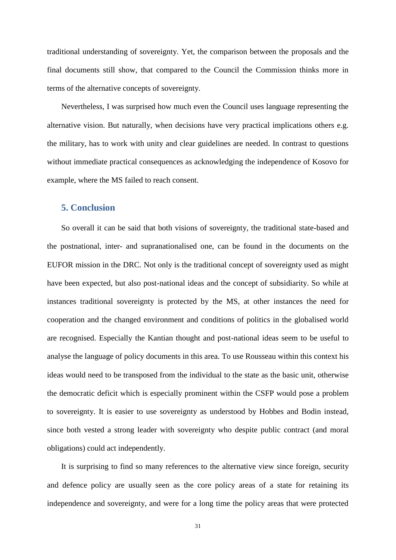traditional understanding of sovereignty. Yet, the comparison between the proposals and the final documents still show, that compared to the Council the Commission thinks more in terms of the alternative concepts of sovereignty.

Nevertheless, I was surprised how much even the Council uses language representing the alternative vision. But naturally, when decisions have very practical implications others e.g. the military, has to work with unity and clear guidelines are needed. In contrast to questions without immediate practical consequences as acknowledging the independence of Kosovo for example, where the MS failed to reach consent.

# **5. Conclusion**

So overall it can be said that both visions of sovereignty, the traditional state-based and the postnational, inter- and supranationalised one, can be found in the documents on the EUFOR mission in the DRC. Not only is the traditional concept of sovereignty used as might have been expected, but also post-national ideas and the concept of subsidiarity. So while at instances traditional sovereignty is protected by the MS, at other instances the need for cooperation and the changed environment and conditions of politics in the globalised world are recognised. Especially the Kantian thought and post-national ideas seem to be useful to analyse the language of policy documents in this area. To use Rousseau within this context his ideas would need to be transposed from the individual to the state as the basic unit, otherwise the democratic deficit which is especially prominent within the CSFP would pose a problem to sovereignty. It is easier to use sovereignty as understood by Hobbes and Bodin instead, since both vested a strong leader with sovereignty who despite public contract (and moral obligations) could act independently.

It is surprising to find so many references to the alternative view since foreign, security and defence policy are usually seen as the core policy areas of a state for retaining its independence and sovereignty, and were for a long time the policy areas that were protected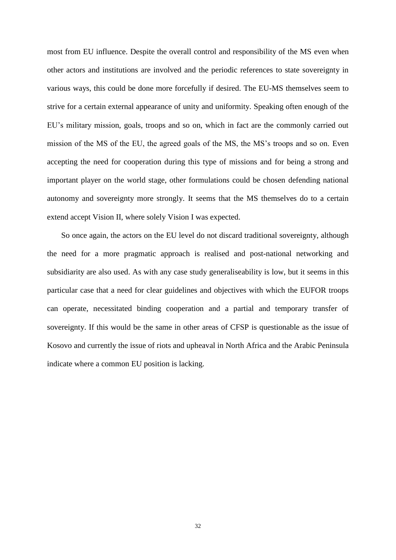most from EU influence. Despite the overall control and responsibility of the MS even when other actors and institutions are involved and the periodic references to state sovereignty in various ways, this could be done more forcefully if desired. The EU-MS themselves seem to strive for a certain external appearance of unity and uniformity. Speaking often enough of the EU's military mission, goals, troops and so on, which in fact are the commonly carried out mission of the MS of the EU, the agreed goals of the MS, the MS"s troops and so on. Even accepting the need for cooperation during this type of missions and for being a strong and important player on the world stage, other formulations could be chosen defending national autonomy and sovereignty more strongly. It seems that the MS themselves do to a certain extend accept Vision II, where solely Vision I was expected.

So once again, the actors on the EU level do not discard traditional sovereignty, although the need for a more pragmatic approach is realised and post-national networking and subsidiarity are also used. As with any case study generaliseability is low, but it seems in this particular case that a need for clear guidelines and objectives with which the EUFOR troops can operate, necessitated binding cooperation and a partial and temporary transfer of sovereignty. If this would be the same in other areas of CFSP is questionable as the issue of Kosovo and currently the issue of riots and upheaval in North Africa and the Arabic Peninsula indicate where a common EU position is lacking.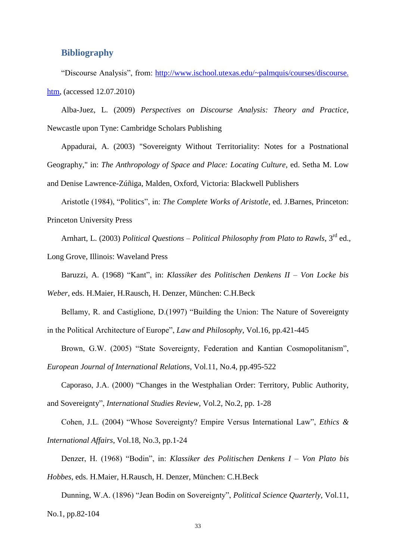# **Bibliography**

"Discourse Analysis", from: [http://www.ischool.utexas.edu/~palmquis/courses/discourse.](http://www.ischool.utexas.edu/~palmquis/courses/discourse.%20htm)  [htm,](http://www.ischool.utexas.edu/~palmquis/courses/discourse.%20htm) (accessed 12.07.2010)

Alba-Juez, L. (2009) *Perspectives on Discourse Analysis: Theory and Practice*, Newcastle upon Tyne: Cambridge Scholars Publishing

Appadurai, A. (2003) "Sovereignty Without Territoriality: Notes for a Postnational Geography," in: *The Anthropology of Space and Place: Locating Culture*, ed. Setha M. Low and Denise Lawrence-Zúñiga, Malden, Oxford, Victoria: Blackwell Publishers

Aristotle (1984), "Politics", in: *The Complete Works of Aristotle*, ed. J.Barnes, Princeton: Princeton University Press

Arnhart, L. (2003) *Political Questions – Political Philosophy from Plato to Rawls*, 3rd ed.,

Long Grove, Illinois: Waveland Press

Baruzzi, A. (1968) "Kant", in: *Klassiker des Politischen Denkens II – Von Locke bis* 

*Weber*, eds. H.Maier, H.Rausch, H. Denzer, München: C.H.Beck

Bellamy, R. and Castiglione, D.(1997) "Building the Union: The Nature of Sovereignty in the Political Architecture of Europe", *Law and Philosophy*, Vol.16, pp.421-445

Brown, G.W. (2005) "State Sovereignty, Federation and Kantian Cosmopolitanism",

*European Journal of International Relations*, Vol.11, No.4, pp.495-522

Caporaso, J.A. (2000) "Changes in the Westphalian Order: Territory, Public Authority, and Sovereignty", *International Studies Review*, Vol.2, No.2, pp. 1-28

Cohen, J.L. (2004) "Whose Sovereignty? Empire Versus International Law", *Ethics & International Affairs*, Vol.18, No.3, pp.1-24

Denzer, H. (1968) "Bodin", in: *Klassiker des Politischen Denkens I – Von Plato bis Hobbes*, eds. H.Maier, H.Rausch, H. Denzer, München: C.H.Beck

Dunning, W.A. (1896) "Jean Bodin on Sovereignty", *Political Science Quarterly*, Vol.11, No.1, pp.82-104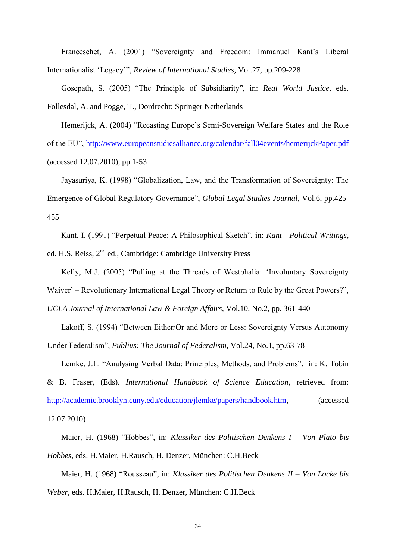Franceschet, A. (2001) "Sovereignty and Freedom: Immanuel Kant's Liberal Internationalist "Legacy"", *Review of International Studies*, Vol.27, pp.209-228

Gosepath, S. (2005) "The Principle of Subsidiarity", in: *Real World Justice*, eds. Follesdal, A. and Pogge, T., Dordrecht: Springer Netherlands

Hemerijck, A. (2004) "Recasting Europe"s Semi-Sovereign Welfare States and the Role of the EU",<http://www.europeanstudiesalliance.org/calendar/fall04events/hemerijckPaper.pdf> (accessed 12.07.2010), pp.1-53

Jayasuriya, K. (1998) "Globalization, Law, and the Transformation of Sovereignty: The Emergence of Global Regulatory Governance", *Global Legal Studies Journal*, Vol.6, pp.425- 455

Kant, I. (1991) "Perpetual Peace: A Philosophical Sketch", in: *Kant - Political Writings*, ed. H.S. Reiss, 2<sup>nd</sup> ed., Cambridge: Cambridge University Press

Kelly, M.J. (2005) "Pulling at the Threads of Westphalia: "Involuntary Sovereignty Waiver' – Revolutionary International Legal Theory or Return to Rule by the Great Powers?", *UCLA Journal of International Law & Foreign Affairs*, Vol.10, No.2, pp. 361-440

Lakoff, S. (1994) "Between Either/Or and More or Less: Sovereignty Versus Autonomy Under Federalism", *Publius: The Journal of Federalism*, Vol.24, No.1, pp.63-78

Lemke, J.L. "Analysing Verbal Data: Principles, Methods, and Problems", in: K. Tobin

& B. Fraser, (Eds). *International Handbook of Science Education*, retrieved from: [http://academic.brooklyn.cuny.edu/education/jlemke/papers/handbook.htm,](http://academic.brooklyn.cuny.edu/education/jlemke/papers/handbook.htm) (accessed 12.07.2010)

Maier, H. (1968) "Hobbes", in: *Klassiker des Politischen Denkens I – Von Plato bis Hobbes*, eds. H.Maier, H.Rausch, H. Denzer, München: C.H.Beck

Maier, H. (1968) "Rousseau", in: *Klassiker des Politischen Denkens II – Von Locke bis Weber*, eds. H.Maier, H.Rausch, H. Denzer, München: C.H.Beck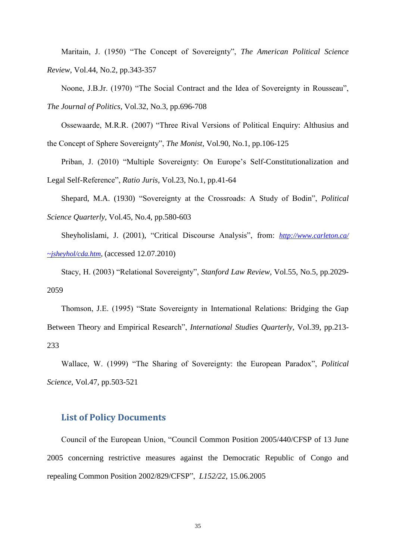Maritain, J. (1950) "The Concept of Sovereignty", *The American Political Science Review*, Vol.44, No.2, pp.343-357

Noone, J.B.Jr. (1970) "The Social Contract and the Idea of Sovereignty in Rousseau", *The Journal of Politics*, Vol.32, No.3, pp.696-708

Ossewaarde, M.R.R. (2007) "Three Rival Versions of Political Enquiry: Althusius and the Concept of Sphere Sovereignty", *The Monist*, Vol.90, No.1, pp.106-125

Priban, J. (2010) "Multiple Sovereignty: On Europe's Self-Constitutionalization and Legal Self-Reference", *Ratio Juris*, Vol.23, No.1, pp.41-64

Shepard, M.A. (1930) "Sovereignty at the Crossroads: A Study of Bodin", *Political Science Quarterly*, Vol.45, No.4, pp.580-603

Sheyholislami, J. (2001), "Critical Discourse Analysis", from: *[http://www.carleton.ca/](http://www.carleton.ca/%20~jsheyhol/cda.htm)  [~jsheyhol/cda.htm](http://www.carleton.ca/%20~jsheyhol/cda.htm)*, (accessed 12.07.2010)

Stacy, H. (2003) "Relational Sovereignty", *Stanford Law Review*, Vol.55, No.5, pp.2029- 2059

Thomson, J.E. (1995) "State Sovereignty in International Relations: Bridging the Gap Between Theory and Empirical Research", *International Studies Quarterly*, Vol.39, pp.213- 233

Wallace, W. (1999) "The Sharing of Sovereignty: the European Paradox", *Political Science*, Vol.47, pp.503-521

#### **List of Policy Documents**

Council of the European Union, "Council Common Position 2005/440/CFSP of 13 June 2005 concerning restrictive measures against the Democratic Republic of Congo and repealing Common Position 2002/829/CFSP", *L152/22*, 15.06.2005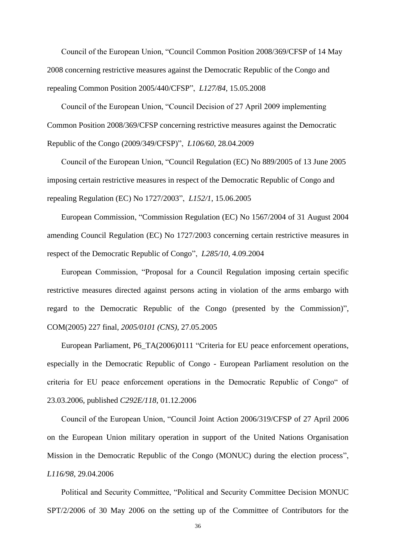Council of the European Union, "Council Common Position 2008/369/CFSP of 14 May 2008 concerning restrictive measures against the Democratic Republic of the Congo and repealing Common Position 2005/440/CFSP", *L127/84*, 15.05.2008

Council of the European Union, "Council Decision of 27 April 2009 implementing Common Position 2008/369/CFSP concerning restrictive measures against the Democratic Republic of the Congo (2009/349/CFSP)", *L106/60*, 28.04.2009

Council of the European Union, "Council Regulation (EC) No 889/2005 of 13 June 2005 imposing certain restrictive measures in respect of the Democratic Republic of Congo and repealing Regulation (EC) No 1727/2003", *L152/1*, 15.06.2005

European Commission, "Commission Regulation (EC) No 1567/2004 of 31 August 2004 amending Council Regulation (EC) No 1727/2003 concerning certain restrictive measures in respect of the Democratic Republic of Congo", *L285/10*, 4.09.2004

European Commission, "Proposal for a Council Regulation imposing certain specific restrictive measures directed against persons acting in violation of the arms embargo with regard to the Democratic Republic of the Congo (presented by the Commission)", COM(2005) 227 final, *2005/0101 (CNS)*, 27.05.2005

European Parliament, P6\_TA(2006)0111 "Criteria for EU peace enforcement operations, especially in the Democratic Republic of Congo - European Parliament resolution on the criteria for EU peace enforcement operations in the Democratic Republic of Congo" of 23.03.2006, published *C292E/118*, 01.12.2006

Council of the European Union, "Council Joint Action 2006/319/CFSP of 27 April 2006 on the European Union military operation in support of the United Nations Organisation Mission in the Democratic Republic of the Congo (MONUC) during the election process", *L116/98*, 29.04.2006

Political and Security Committee, "Political and Security Committee Decision MONUC SPT/2/2006 of 30 May 2006 on the setting up of the Committee of Contributors for the